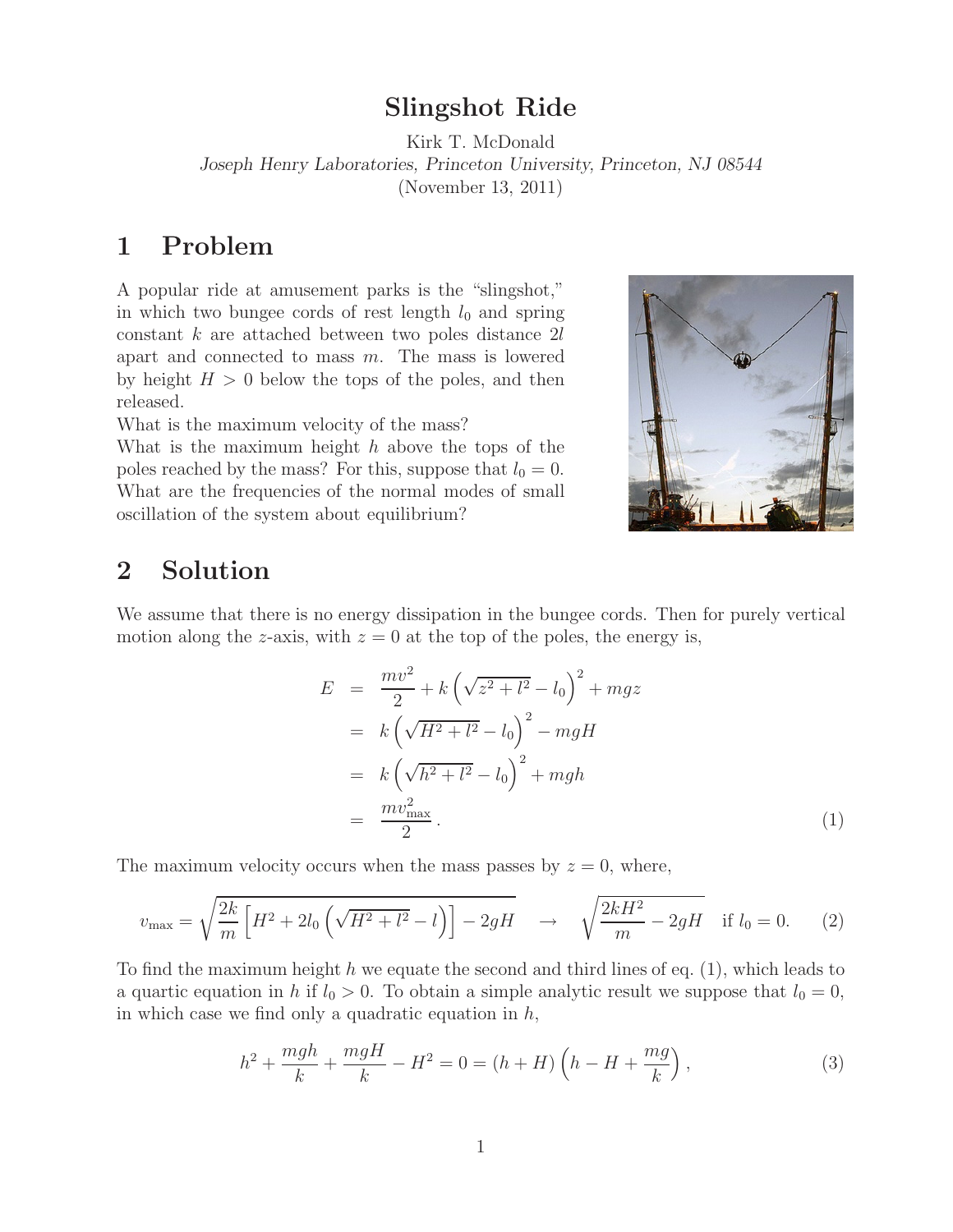## **Slingshot Ride**

Kirk T. McDonald *Joseph Henry Laboratories, Princeton University, Princeton, NJ 08544* (November 13, 2011)

## **1 Problem**

A popular ride at amusement parks is the "slingshot," in which two bungee cords of rest length  $l_0$  and spring constant  $k$  are attached between two poles distance  $2l$ apart and connected to mass  $m$ . The mass is lowered by height  $H > 0$  below the tops of the poles, and then released.

What is the maximum velocity of the mass?

What is the maximum height  $h$  above the tops of the poles reached by the mass? For this, suppose that  $l_0 = 0$ . What are the frequencies of the normal modes of small oscillation of the system about equilibrium?



## **2 Solution**

We assume that there is no energy dissipation in the bungee cords. Then for purely vertical motion along the z-axis, with  $z = 0$  at the top of the poles, the energy is,

$$
E = \frac{mv^2}{2} + k\left(\sqrt{z^2 + l^2} - l_0\right)^2 + mgz
$$
  
=  $k\left(\sqrt{H^2 + l^2} - l_0\right)^2 - mgH$   
=  $k\left(\sqrt{h^2 + l^2} - l_0\right)^2 + mgh$   
=  $\frac{mv_{\text{max}}^2}{2}$ . (1)

The maximum velocity occurs when the mass passes by  $z = 0$ , where,

$$
v_{\text{max}} = \sqrt{\frac{2k}{m} \left[ H^2 + 2l_0 \left( \sqrt{H^2 + l^2} - l \right) \right] - 2gH} \quad \to \quad \sqrt{\frac{2kH^2}{m} - 2gH} \quad \text{if } l_0 = 0. \tag{2}
$$

To find the maximum height h we equate the second and third lines of eq.  $(1)$ , which leads to a quartic equation in h if  $l_0 > 0$ . To obtain a simple analytic result we suppose that  $l_0 = 0$ , in which case we find only a quadratic equation in  $h$ ,

$$
h^{2} + \frac{mgh}{k} + \frac{mgH}{k} - H^{2} = 0 = (h + H)\left(h - H + \frac{mg}{k}\right),
$$
\n(3)